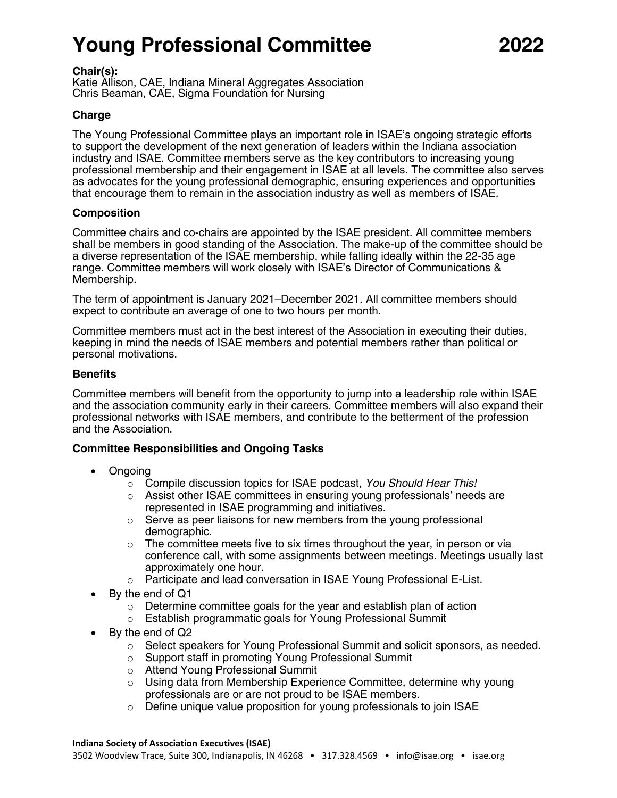# **Young Professional Committee 2022**

#### **Chair(s):**

Katie Allison, CAE, Indiana Mineral Aggregates Association Chris Beaman, CAE, Sigma Foundation for Nursing

## **Charge**

The Young Professional Committee plays an important role in ISAE's ongoing strategic efforts to support the development of the next generation of leaders within the Indiana association industry and ISAE. Committee members serve as the key contributors to increasing young professional membership and their engagement in ISAE at all levels. The committee also serves as advocates for the young professional demographic, ensuring experiences and opportunities that encourage them to remain in the association industry as well as members of ISAE.

#### **Composition**

Committee chairs and co-chairs are appointed by the ISAE president. All committee members shall be members in good standing of the Association. The make-up of the committee should be a diverse representation of the ISAE membership, while falling ideally within the 22-35 age range. Committee members will work closely with ISAE's Director of Communications & Membership.

The term of appointment is January 2021–December 2021. All committee members should expect to contribute an average of one to two hours per month.

Committee members must act in the best interest of the Association in executing their duties, keeping in mind the needs of ISAE members and potential members rather than political or personal motivations.

#### **Benefits**

Committee members will benefit from the opportunity to jump into a leadership role within ISAE and the association community early in their careers. Committee members will also expand their professional networks with ISAE members, and contribute to the betterment of the profession and the Association.

#### **Committee Responsibilities and Ongoing Tasks**

- Ongoing
	- o Compile discussion topics for ISAE podcast, *You Should Hear This!*
	- $\circ$  Assist other ISAE committees in ensuring young professionals' needs are represented in ISAE programming and initiatives.
	- $\circ$  Serve as peer liaisons for new members from the young professional demographic.
	- $\circ$  The committee meets five to six times throughout the year, in person or via conference call, with some assignments between meetings. Meetings usually last approximately one hour.
	- o Participate and lead conversation in ISAE Young Professional E-List.
- By the end of Q1
	- $\circ$  Determine committee goals for the year and establish plan of action
	- o Establish programmatic goals for Young Professional Summit
- By the end of Q2
	- $\circ$  Select speakers for Young Professional Summit and solicit sponsors, as needed.
	- o Support staff in promoting Young Professional Summit
	- o Attend Young Professional Summit
	- $\circ$  Using data from Membership Experience Committee, determine why young professionals are or are not proud to be ISAE members.
	- o Define unique value proposition for young professionals to join ISAE